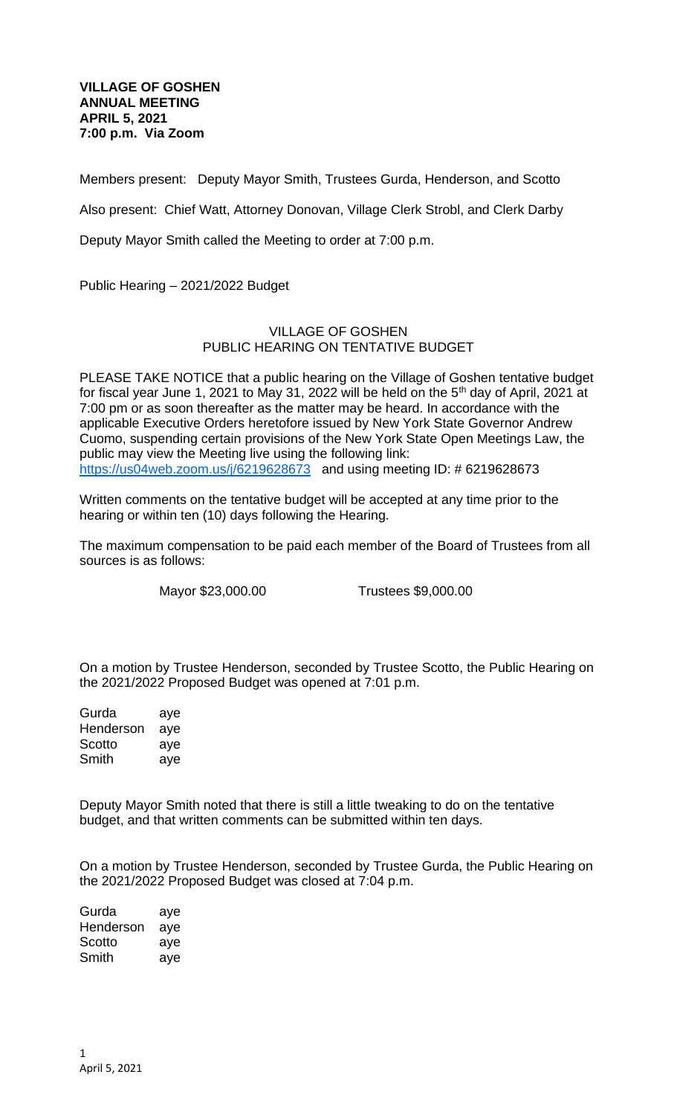## **VILLAGE OF GOSHEN ANNUAL MEETING APRIL 5, 2021 7:00 p.m. Via Zoom**

Members present: Deputy Mayor Smith, Trustees Gurda, Henderson, and Scotto

Also present: Chief Watt, Attorney Donovan, Village Clerk Strobl, and Clerk Darby

Deputy Mayor Smith called the Meeting to order at 7:00 p.m.

Public Hearing – 2021/2022 Budget

## VILLAGE OF GOSHEN PUBLIC HEARING ON TENTATIVE BUDGET

PLEASE TAKE NOTICE that a public hearing on the Village of Goshen tentative budget for fiscal year June 1, 2021 to May 31, 2022 will be held on the 5<sup>th</sup> day of April, 2021 at 7:00 pm or as soon thereafter as the matter may be heard. In accordance with the applicable Executive Orders heretofore issued by New York State Governor Andrew Cuomo, suspending certain provisions of the New York State Open Meetings Law, the public may view the Meeting live using the following link: <https://us04web.zoom.us/j/6219628673>and using meeting ID: #6219628673

Written comments on the tentative budget will be accepted at any time prior to the hearing or within ten (10) days following the Hearing.

The maximum compensation to be paid each member of the Board of Trustees from all sources is as follows:

Mayor \$23,000.00 Trustees \$9,000.00

On a motion by Trustee Henderson, seconded by Trustee Scotto, the Public Hearing on the 2021/2022 Proposed Budget was opened at 7:01 p.m.

Gurda aye Henderson aye Scotto ave Smith aye

Deputy Mayor Smith noted that there is still a little tweaking to do on the tentative budget, and that written comments can be submitted within ten days.

On a motion by Trustee Henderson, seconded by Trustee Gurda, the Public Hearing on the 2021/2022 Proposed Budget was closed at 7:04 p.m.

| Gurda     | aye |
|-----------|-----|
| Henderson | aye |
| Scotto    | aye |
| Smith     | aye |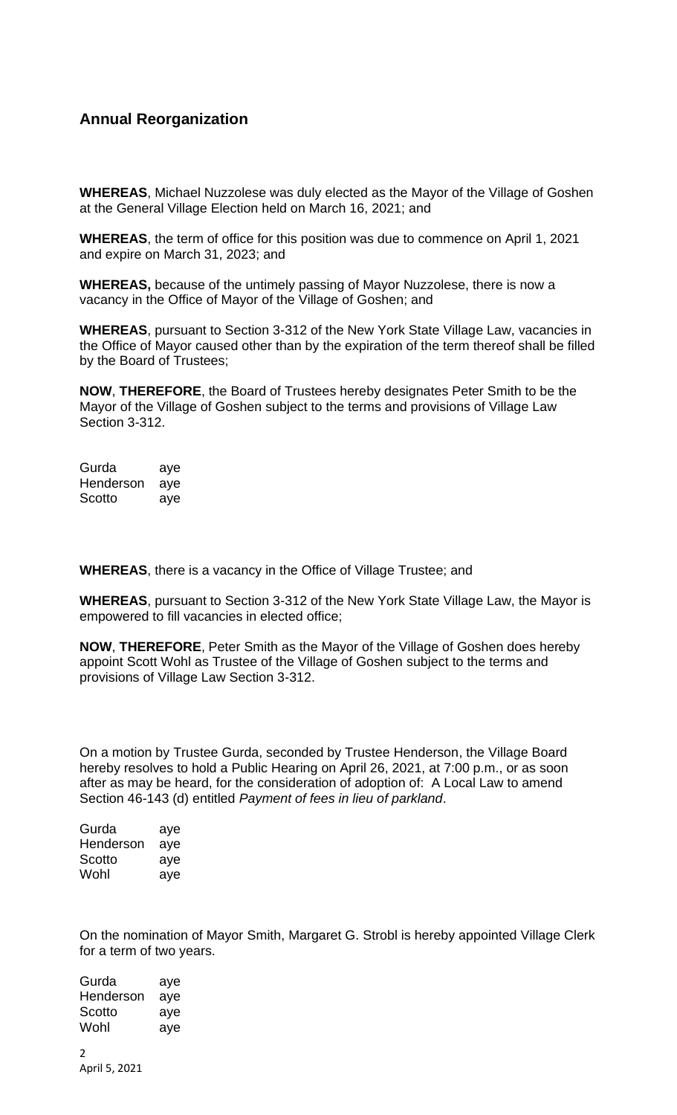## **Annual Reorganization**

**WHEREAS**, Michael Nuzzolese was duly elected as the Mayor of the Village of Goshen at the General Village Election held on March 16, 2021; and

**WHEREAS**, the term of office for this position was due to commence on April 1, 2021 and expire on March 31, 2023; and

**WHEREAS,** because of the untimely passing of Mayor Nuzzolese, there is now a vacancy in the Office of Mayor of the Village of Goshen; and

**WHEREAS**, pursuant to Section 3-312 of the New York State Village Law, vacancies in the Office of Mayor caused other than by the expiration of the term thereof shall be filled by the Board of Trustees;

**NOW**, **THEREFORE**, the Board of Trustees hereby designates Peter Smith to be the Mayor of the Village of Goshen subject to the terms and provisions of Village Law Section 3-312.

Gurda aye Henderson aye Scotto aye

**WHEREAS**, there is a vacancy in the Office of Village Trustee; and

**WHEREAS**, pursuant to Section 3-312 of the New York State Village Law, the Mayor is empowered to fill vacancies in elected office;

**NOW**, **THEREFORE**, Peter Smith as the Mayor of the Village of Goshen does hereby appoint Scott Wohl as Trustee of the Village of Goshen subject to the terms and provisions of Village Law Section 3-312.

On a motion by Trustee Gurda, seconded by Trustee Henderson, the Village Board hereby resolves to hold a Public Hearing on April 26, 2021, at 7:00 p.m., or as soon after as may be heard, for the consideration of adoption of: A Local Law to amend Section 46-143 (d) entitled *Payment of fees in lieu of parkland*.

| Gurda     | aye |
|-----------|-----|
| Henderson | aye |
| Scotto    | aye |
| Wohl      | aye |

On the nomination of Mayor Smith, Margaret G. Strobl is hereby appointed Village Clerk for a term of two years.

 $\mathcal{L}$ April 5, 2021 Gurda aye Henderson aye Scotto aye Wohl aye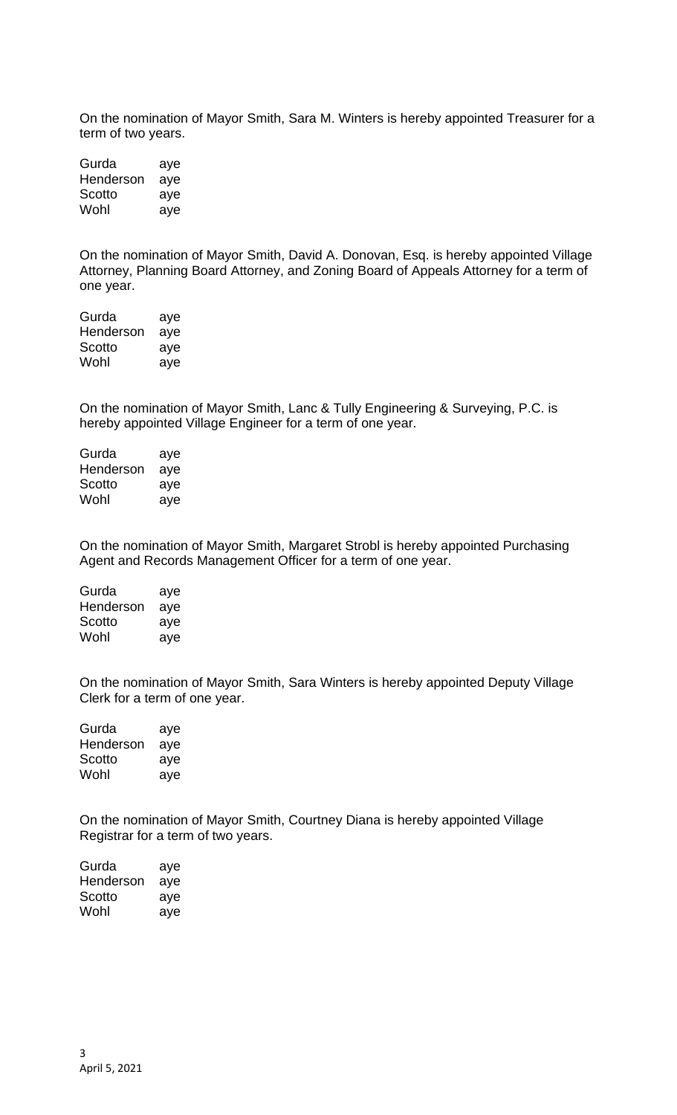On the nomination of Mayor Smith, Sara M. Winters is hereby appointed Treasurer for a term of two years.

| Gurda     | aye |
|-----------|-----|
| Henderson | aye |
| Scotto    | aye |
| Wohl      | aye |

On the nomination of Mayor Smith, David A. Donovan, Esq. is hereby appointed Village Attorney, Planning Board Attorney, and Zoning Board of Appeals Attorney for a term of one year.

| Gurda     | aye |
|-----------|-----|
| Henderson | aye |
| Scotto    | aye |
| Wohl      | aye |

On the nomination of Mayor Smith, Lanc & Tully Engineering & Surveying, P.C. is hereby appointed Village Engineer for a term of one year.

| Gurda     | aye |
|-----------|-----|
| Henderson | aye |
| Scotto    | aye |
| Wohl      | aye |

On the nomination of Mayor Smith, Margaret Strobl is hereby appointed Purchasing Agent and Records Management Officer for a term of one year.

| Gurda     | aye |
|-----------|-----|
| Henderson | aye |
| Scotto    | aye |
| Wohl      | aye |

On the nomination of Mayor Smith, Sara Winters is hereby appointed Deputy Village Clerk for a term of one year.

Gurda aye Henderson aye Scotto aye Wohl aye

On the nomination of Mayor Smith, Courtney Diana is hereby appointed Village Registrar for a term of two years.

| Gurda     | aye |
|-----------|-----|
| Henderson | aye |
| Scotto    | aye |
| Wohl      | aye |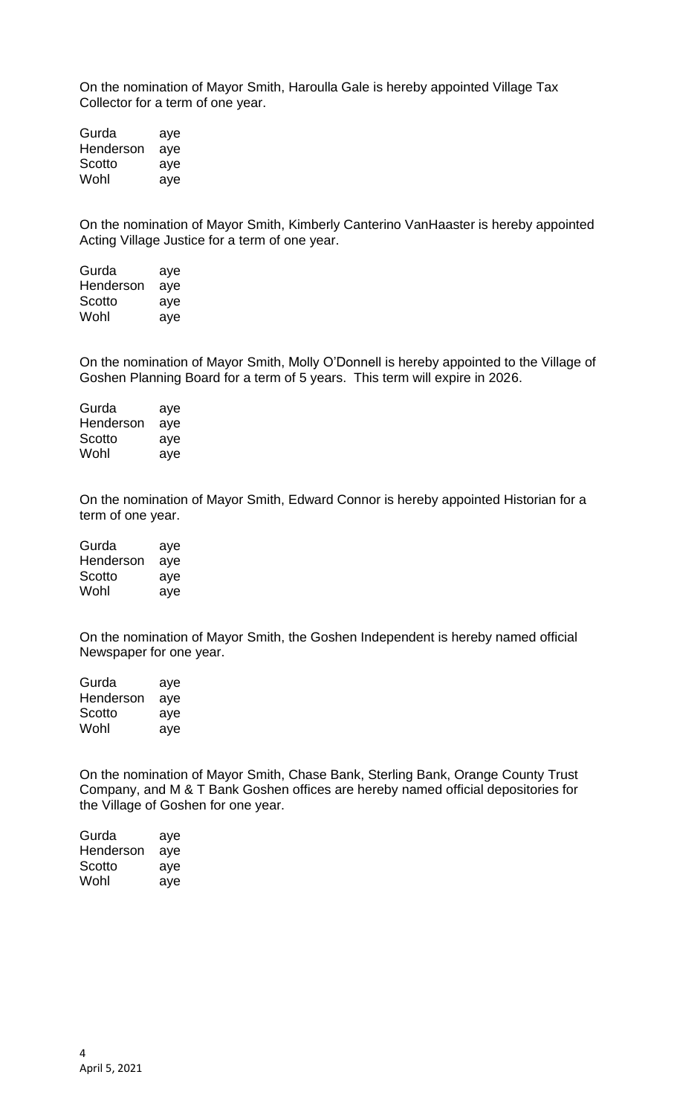On the nomination of Mayor Smith, Haroulla Gale is hereby appointed Village Tax Collector for a term of one year.

Gurda aye Henderson aye Scotto aye Wohl aye

On the nomination of Mayor Smith, Kimberly Canterino VanHaaster is hereby appointed Acting Village Justice for a term of one year.

Gurda aye Henderson aye Scotto aye Wohl aye

On the nomination of Mayor Smith, Molly O'Donnell is hereby appointed to the Village of Goshen Planning Board for a term of 5 years. This term will expire in 2026.

Gurda aye Henderson aye Scotto aye Wohl aye

On the nomination of Mayor Smith, Edward Connor is hereby appointed Historian for a term of one year.

| Gurda     | aye |
|-----------|-----|
| Henderson | aye |
| Scotto    | aye |
| Wohl      | aye |

On the nomination of Mayor Smith, the Goshen Independent is hereby named official Newspaper for one year.

| Gurda     | aye |
|-----------|-----|
| Henderson | aye |
| Scotto    | aye |
| Wohl      | aye |

On the nomination of Mayor Smith, Chase Bank, Sterling Bank, Orange County Trust Company, and M & T Bank Goshen offices are hereby named official depositories for the Village of Goshen for one year.

| Gurda     | aye |
|-----------|-----|
| Henderson | aye |
| Scotto    | aye |
| Wohl      | aye |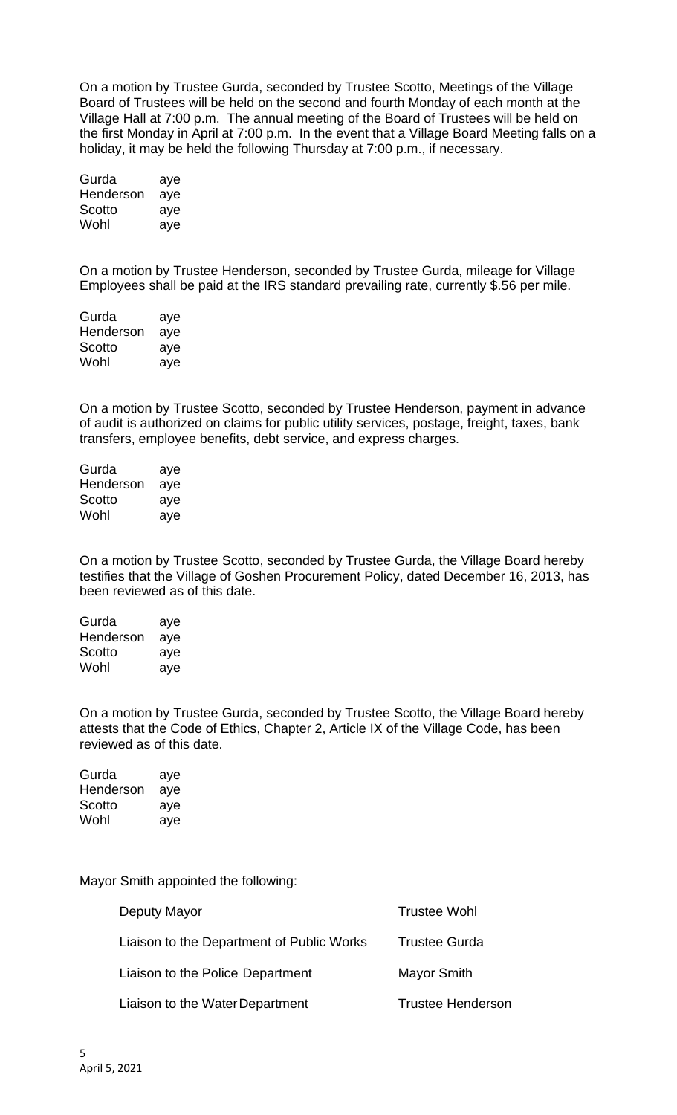On a motion by Trustee Gurda, seconded by Trustee Scotto, Meetings of the Village Board of Trustees will be held on the second and fourth Monday of each month at the Village Hall at 7:00 p.m. The annual meeting of the Board of Trustees will be held on the first Monday in April at 7:00 p.m. In the event that a Village Board Meeting falls on a holiday, it may be held the following Thursday at 7:00 p.m., if necessary.

| Gurda     | aye |
|-----------|-----|
| Henderson | aye |
| Scotto    | aye |
| Wohl      | aye |

On a motion by Trustee Henderson, seconded by Trustee Gurda, mileage for Village Employees shall be paid at the IRS standard prevailing rate, currently \$.56 per mile.

| Gurda     | aye |
|-----------|-----|
| Henderson | aye |
| Scotto    | aye |
| Wohl      | aye |

On a motion by Trustee Scotto, seconded by Trustee Henderson, payment in advance of audit is authorized on claims for public utility services, postage, freight, taxes, bank transfers, employee benefits, debt service, and express charges.

| Gurda     | aye |
|-----------|-----|
| Henderson | aye |
| Scotto    | aye |
| Wohl      | aye |

On a motion by Trustee Scotto, seconded by Trustee Gurda, the Village Board hereby testifies that the Village of Goshen Procurement Policy, dated December 16, 2013, has been reviewed as of this date.

| Gurda     | aye |
|-----------|-----|
| Henderson | aye |
| Scotto    | aye |
| Wohl      | aye |

On a motion by Trustee Gurda, seconded by Trustee Scotto, the Village Board hereby attests that the Code of Ethics, Chapter 2, Article IX of the Village Code, has been reviewed as of this date.

| Gurda     | aye |
|-----------|-----|
| Henderson | aye |
| Scotto    | aye |
| Wohl      | aye |

Mayor Smith appointed the following:

| Deputy Mayor                              | <b>Trustee Wohl</b>      |
|-------------------------------------------|--------------------------|
| Liaison to the Department of Public Works | <b>Trustee Gurda</b>     |
| Liaison to the Police Department          | <b>Mayor Smith</b>       |
| Liaison to the Water Department           | <b>Trustee Henderson</b> |